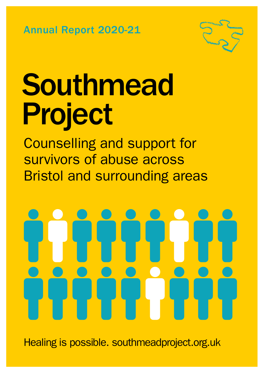Annual Report 2020-21



# Southmead Project

Counselling and support for survivors of abuse across Bristol and surrounding areas

Healing is possible. southmeadproject.org.uk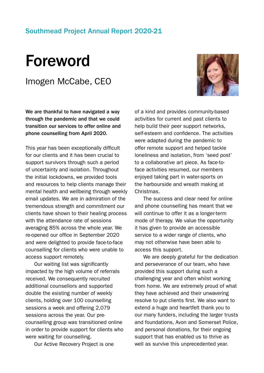#### Southmead Project Annual Report 2020-21

### Foreword

Imogen McCabe, CEO



We are thankful to have navigated a way through the pandemic and that we could transition our services to offer online and phone counselling from April 2020.

This year has been exceptionally difficult for our clients and it has been crucial to support survivors through such a period of uncertainty and isolation. Throughout the initial lockdowns, we provided tools and resources to help clients manage their mental health and wellbeing through weekly email updates. We are in admiration of the tremendous strength and commitment our clients have shown to their healing process with the attendance rate of sessions averaging 85% across the whole year. We re-opened our office in September 2020 and were delighted to provide face-to-face counselling for clients who were unable to access support remotely.

Our waiting list was significantly impacted by the high volume of referrals received. We consequently recruited additional counsellors and supported double the existing number of weekly clients, holding over 100 counselling sessions a week and offering 2,079 sessions across the year. Our precounselling group was transitioned online in order to provide support for clients who were waiting for counselling.

Our Active Recovery Project is one

of a kind and provides community-based activities for current and past clients to help build their peer support networks, self-esteem and confidence. The activities were adapted during the pandemic to offer remote support and helped tackle loneliness and isolation, from 'seed post' to a collaborative art piece. As face-toface activities resumed, our members enjoyed taking part in water-sports on the harbourside and wreath making at Christmas.

The success and clear need for online and phone counselling has meant that we will continue to offer it as a longer-term mode of therapy. We value the opportunity it has given to provide an accessible service to a wider range of clients, who may not otherwise have been able to access this support.

We are deeply grateful for the dedication and perseverance of our team, who have provided this support during such a challenging year and often whilst working from home. We are extremely proud of what they have achieved and their unwavering resolve to put clients first. We also want to extend a huge and heartfelt thank you to our many funders, including the larger trusts and foundations, Avon and Somerset Police, and personal donations, for their ongoing support that has enabled us to thrive as well as survive this unprecedented year.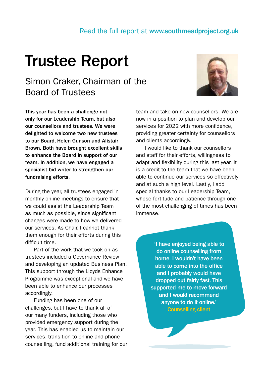#### Read the full report at www.southmeadproject.org.uk

### Trustee Report

#### Simon Craker, Chairman of the Board of Trustees



This year has been a challenge not only for our Leadership Team, but also our counsellors and trustees. We were delighted to welcome two new trustees to our Board, Helen Gunson and Alistair Brown. Both have brought excellent skills to enhance the Board in support of our team. In addition, we have engaged a specialist bid writer to strengthen our fundraising efforts.

During the year, all trustees engaged in monthly online meetings to ensure that we could assist the Leadership Team as much as possible, since significant changes were made to how we delivered our services. As Chair, I cannot thank them enough for their efforts during this difficult time.

Part of the work that we took on as trustees included a Governance Review and developing an updated Business Plan. This support through the Lloyds Enhance Programme was exceptional and we have been able to enhance our processes accordingly.

Funding has been one of our challenges, but I have to thank all of our many funders, including those who provided emergency support during the year. This has enabled us to maintain our services, transition to online and phone counselling, fund additional training for our team and take on new counsellors. We are now in a position to plan and develop our services for 2022 with more confidence, providing greater certainty for counsellors and clients accordingly.

I would like to thank our counsellors and staff for their efforts, willingness to adapt and flexibility during this last year. It is a credit to the team that we have been able to continue our services so effectively and at such a high level. Lastly, I add special thanks to our Leadership Team, whose fortitude and patience through one of the most challenging of times has been immense.

> "I have enjoyed being able to do online counselling from home. I wouldn't have been able to come into the office and I probably would have dropped out fairly fast. This supported me to move forward and I would recommend anyone to do it online." Counselling client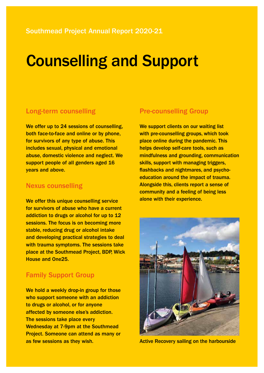### **Counselling and Support**

#### Long-term counselling

We offer up to 24 sessions of counselling, both face-to-face and online or by phone, for survivors of any type of abuse. This includes sexual, physical and emotional abuse, domestic violence and neglect. We support people of all genders aged 16 years and above.

#### Nexus counselling

We offer this unique counselling service for survivors of abuse who have a current addiction to drugs or alcohol for up to 12 sessions. The focus is on becoming more stable, reducing drug or alcohol intake and developing practical strategies to deal with trauma symptoms. The sessions take place at the Southmead Project, BDP, Wick House and One25.

#### Family Support Group

We hold a weekly drop-in group for those who support someone with an addiction to drugs or alcohol, or for anyone affected by someone else's addiction. The sessions take place every Wednesday at 7-9pm at the Southmead Project. Someone can attend as many or as few sessions as they wish.

#### Pre-counselling Group

We support clients on our waiting list with pre-counselling groups, which took place online during the pandemic. This helps develop self-care tools, such as mindfulness and grounding, communication skills, support with managing triggers. flashbacks and nightmares, and psychoeducation around the impact of trauma. Alongside this, clients report a sense of community and a feeling of being less alone with their experience.



Active Recovery sailing on the harbourside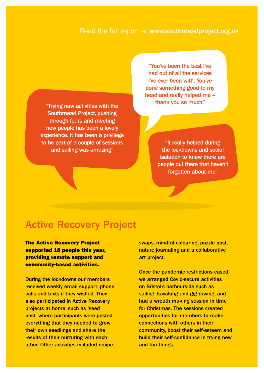#### Read the full report at www.southmeadproject.org.uk

"Trying new activities with the Southmead Project, pushing through fears and meeting new people has been a lovely experience. It has been a privilege to be part of a couple of sessions and sailing was amazing"

Counselling and Support The impact of our counselling and Support The impact of our counsel<br>Counselling and Support The impact of our counsel of our counsel with the impact of our counsel of our counsel<br>Counselling and Sup "You've been the best I've had out of all the services I've ever been with. You've done something good to my head and really helped me – thank you so much."

> "It really helped during the lockdowns and social isolation to know there are people out there that haven't forgotten about me"

#### Active Recovery Project

The Active Recovery Project supported 18 people this year, providing remote support and community-based activities.

During the lockdowns our members received weekly email support, phone calls and texts if they wished. They also participated in Active Recovery projects at home, such as 'seed post' where participants were posted everything that they needed to grow their own seedlings and share the results of their nurturing with each other. Other activities included recipe

swaps, mindful colouring, puzzle post, nature journaling and a collaborative art project.

Once the pandemic restrictions eased, we arranged Covid-secure activities on Bristol's harbourside such as sailing, kayaking and gig rowing, and had a wreath making session in time for Christmas. The sessions created opportunities for members to make connections with others in their community, boost their self-esteem and build their self-confidence in trying new and fun things.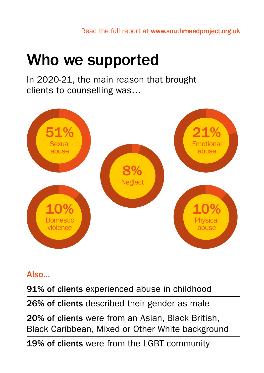## Who we supported

In 2020-21, the main reason that brought clients to counselling was…



#### Also...

91% of clients experienced abuse in childhood

26% of clients described their gender as male

20% of clients were from an Asian, Black British, Black Caribbean, Mixed or Other White background

19% of clients were from the LGBT community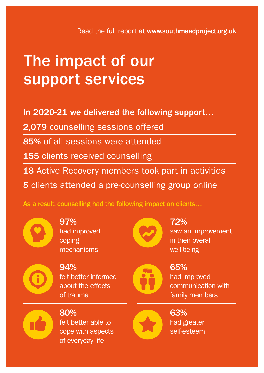### The impact of our support services

In 2020-21 we delivered the following support…

2,079 counselling sessions offered

85% of all sessions were attended

155 clients received counselling

18 Active Recovery members took part in activities

5 clients attended a pre-counselling group online

As a result, counselling had the following impact on clients…



97% had improved coping mechanisms



72% saw an improvement in their overall well-being

94% felt better informed about the effects of trauma



65% had improved communication with family members



80% felt better able to cope with aspects of everyday life



63% had greater self-esteem